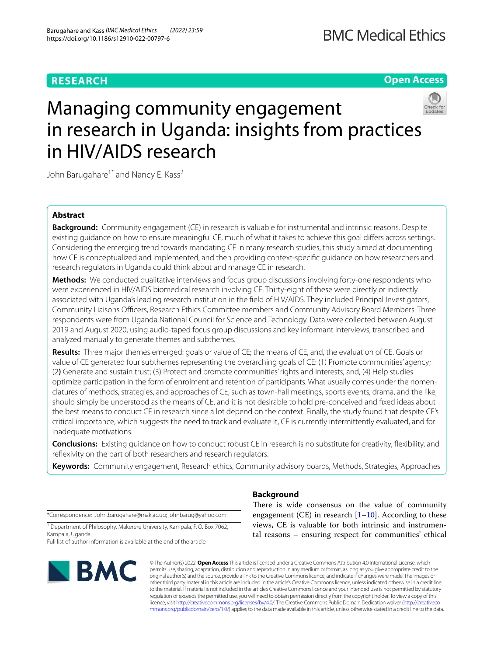## **RESEARCH**

**Open Access**

# Managing community engagement in research in Uganda: insights from practices in HIV/AIDS research

John Barugahare<sup>1\*</sup> and Nancy E. Kass<sup>2</sup>

## **Abstract**

**Background:** Community engagement (CE) in research is valuable for instrumental and intrinsic reasons. Despite existing guidance on how to ensure meaningful CE, much of what it takes to achieve this goal difers across settings. Considering the emerging trend towards mandating CE in many research studies, this study aimed at documenting how CE is conceptualized and implemented, and then providing context-specifc guidance on how researchers and research regulators in Uganda could think about and manage CE in research.

**Methods:** We conducted qualitative interviews and focus group discussions involving forty-one respondents who were experienced in HIV/AIDS biomedical research involving CE. Thirty-eight of these were directly or indirectly associated with Uganda's leading research institution in the feld of HIV/AIDS. They included Principal Investigators, Community Liaisons Officers, Research Ethics Committee members and Community Advisory Board Members. Three respondents were from Uganda National Council for Science and Technology. Data were collected between August 2019 and August 2020, using audio-taped focus group discussions and key informant interviews, transcribed and analyzed manually to generate themes and subthemes.

**Results:** Three major themes emerged: goals or value of CE; the means of CE, and, the evaluation of CE. Goals or value of CE generated four subthemes representing the overarching goals of CE: (1) Promote communities' agency; (2**)** Generate and sustain trust; (3) Protect and promote communities' rights and interests; and, (4) Help studies optimize participation in the form of enrolment and retention of participants. What usually comes under the nomenclatures of methods, strategies, and approaches of CE, such as town-hall meetings, sports events, drama, and the like, should simply be understood as the means of CE, and it is not desirable to hold pre-conceived and fxed ideas about the best means to conduct CE in research since a lot depend on the context. Finally, the study found that despite CE's critical importance, which suggests the need to track and evaluate it, CE is currently intermittently evaluated, and for inadequate motivations.

**Conclusions:** Existing guidance on how to conduct robust CE in research is no substitute for creativity, fexibility, and reflexivity on the part of both researchers and research regulators.

**Keywords:** Community engagement, Research ethics, Community advisory boards, Methods, Strategies, Approaches

\*Correspondence: John.barugahare@mak.ac.ug; johnbarug@yahoo.com

<sup>1</sup> Department of Philosophy, Makerere University, Kampala, P.O. Box 7062, Kampala, Uganda

Full list of author information is available at the end of the article



## **Background**

There is wide consensus on the value of community engagement (CE) in research  $[1-10]$  $[1-10]$  $[1-10]$ . According to these views, CE is valuable for both intrinsic and instrumental reasons – ensuring respect for communities' ethical

© The Author(s) 2022. **Open Access** This article is licensed under a Creative Commons Attribution 4.0 International License, which permits use, sharing, adaptation, distribution and reproduction in any medium or format, as long as you give appropriate credit to the original author(s) and the source, provide a link to the Creative Commons licence, and indicate if changes were made. The images or other third party material in this article are included in the article's Creative Commons licence, unless indicated otherwise in a credit line to the material. If material is not included in the article's Creative Commons licence and your intended use is not permitted by statutory regulation or exceeds the permitted use, you will need to obtain permission directly from the copyright holder. To view a copy of this licence, visit [http://creativecommons.org/licenses/by/4.0/.](http://creativecommons.org/licenses/by/4.0/) The Creative Commons Public Domain Dedication waiver ([http://creativeco](http://creativecommons.org/publicdomain/zero/1.0/) [mmons.org/publicdomain/zero/1.0/](http://creativecommons.org/publicdomain/zero/1.0/)) applies to the data made available in this article, unless otherwise stated in a credit line to the data.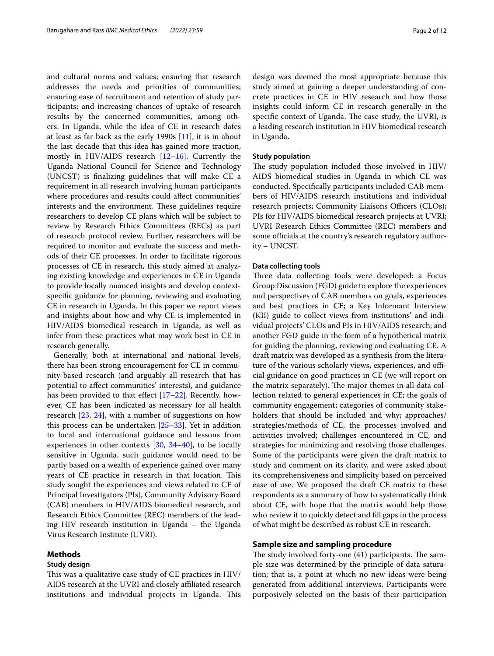and cultural norms and values; ensuring that research addresses the needs and priorities of communities; ensuring ease of recruitment and retention of study participants; and increasing chances of uptake of research results by the concerned communities, among others. In Uganda, while the idea of CE in research dates at least as far back as the early 1990s [[11](#page-10-1)], it is in about the last decade that this idea has gained more traction, mostly in HIV/AIDS research [[12–](#page-10-2)[16\]](#page-10-3). Currently the Uganda National Council for Science and Technology (UNCST) is fnalizing guidelines that will make CE a requirement in all research involving human participants where procedures and results could afect communities' interests and the environment. These guidelines require researchers to develop CE plans which will be subject to review by Research Ethics Committees (RECs) as part of research protocol review. Further, researchers will be required to monitor and evaluate the success and methods of their CE processes. In order to facilitate rigorous processes of CE in research, this study aimed at analyzing existing knowledge and experiences in CE in Uganda to provide locally nuanced insights and develop contextspecifc guidance for planning, reviewing and evaluating CE in research in Uganda. In this paper we report views and insights about how and why CE is implemented in HIV/AIDS biomedical research in Uganda, as well as infer from these practices what may work best in CE in research generally.

Generally, both at international and national levels, there has been strong encouragement for CE in community-based research (and arguably all research that has potential to afect communities' interests), and guidance has been provided to that effect  $[17–22]$  $[17–22]$ . Recently, however, CE has been indicated as necessary for all health research [[23,](#page-10-6) [24](#page-10-7)], with a number of suggestions on how this process can be undertaken [[25–](#page-10-8)[33\]](#page-10-9). Yet in addition to local and international guidance and lessons from experiences in other contexts  $[30, 34-40]$  $[30, 34-40]$  $[30, 34-40]$  $[30, 34-40]$  $[30, 34-40]$ , to be locally sensitive in Uganda, such guidance would need to be partly based on a wealth of experience gained over many years of CE practice in research in that location. This study sought the experiences and views related to CE of Principal Investigators (PIs), Community Advisory Board (CAB) members in HIV/AIDS biomedical research, and Research Ethics Committee (REC) members of the leading HIV research institution in Uganda – the Uganda Virus Research Institute (UVRI).

## **Methods**

## **Study design**

This was a qualitative case study of CE practices in HIV/ AIDS research at the UVRI and closely afliated research institutions and individual projects in Uganda. This design was deemed the most appropriate because this study aimed at gaining a deeper understanding of concrete practices in CE in HIV research and how those insights could inform CE in research generally in the specific context of Uganda. The case study, the UVRI, is a leading research institution in HIV biomedical research in Uganda.

## **Study population**

The study population included those involved in HIV/ AIDS biomedical studies in Uganda in which CE was conducted. Specifcally participants included CAB members of HIV/AIDS research institutions and individual research projects; Community Liaisons Officers (CLOs); PIs for HIV/AIDS biomedical research projects at UVRI; UVRI Research Ethics Committee (REC) members and some officials at the country's research regulatory authority – UNCST.

## **Data collecting tools**

Three data collecting tools were developed: a Focus Group Discussion (FGD) guide to explore the experiences and perspectives of CAB members on goals, experiences and best practices in CE; a Key Informant Interview (KII) guide to collect views from institutions' and individual projects' CLOs and PIs in HIV/AIDS research; and another FGD guide in the form of a hypothetical matrix for guiding the planning, reviewing and evaluating CE. A draft matrix was developed as a synthesis from the literature of the various scholarly views, experiences, and official guidance on good practices in CE (we will report on the matrix separately). The major themes in all data collection related to general experiences in CE; the goals of community engagement; categories of community stakeholders that should be included and why; approaches/ strategies/methods of CE, the processes involved and activities involved; challenges encountered in CE; and strategies for minimizing and resolving those challenges. Some of the participants were given the draft matrix to study and comment on its clarity, and were asked about its comprehensiveness and simplicity based on perceived ease of use. We proposed the draft CE matrix to these respondents as a summary of how to systematically think about CE, with hope that the matrix would help those who review it to quickly detect and fll gaps in the process of what might be described as robust CE in research.

## **Sample size and sampling procedure**

The study involved forty-one  $(41)$  participants. The sample size was determined by the principle of data saturation; that is, a point at which no new ideas were being generated from additional interviews. Participants were purposively selected on the basis of their participation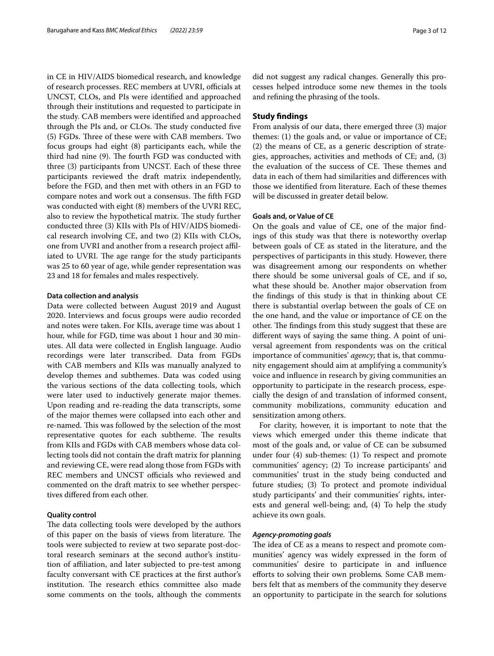in CE in HIV/AIDS biomedical research, and knowledge of research processes. REC members at UVRI, officials at UNCST, CLOs, and PIs were identifed and approached through their institutions and requested to participate in the study. CAB members were identifed and approached through the PIs and, or CLOs. The study conducted five (5) FGDs. Three of these were with CAB members. Two focus groups had eight (8) participants each, while the third had nine (9). The fourth FGD was conducted with three (3) participants from UNCST. Each of these three participants reviewed the draft matrix independently, before the FGD, and then met with others in an FGD to compare notes and work out a consensus. The fifth FGD was conducted with eight (8) members of the UVRI REC, also to review the hypothetical matrix. The study further conducted three (3) KIIs with PIs of HIV/AIDS biomedical research involving CE, and two (2) KIIs with CLOs, one from UVRI and another from a research project afliated to UVRI. The age range for the study participants was 25 to 60 year of age, while gender representation was 23 and 18 for females and males respectively.

## **Data collection and analysis**

Data were collected between August 2019 and August 2020. Interviews and focus groups were audio recorded and notes were taken. For KIIs, average time was about 1 hour, while for FGD, time was about 1 hour and 30 minutes. All data were collected in English language. Audio recordings were later transcribed. Data from FGDs with CAB members and KIIs was manually analyzed to develop themes and subthemes. Data was coded using the various sections of the data collecting tools, which were later used to inductively generate major themes. Upon reading and re-reading the data transcripts, some of the major themes were collapsed into each other and re-named. This was followed by the selection of the most representative quotes for each subtheme. The results from KIIs and FGDs with CAB members whose data collecting tools did not contain the draft matrix for planning and reviewing CE, were read along those from FGDs with REC members and UNCST officials who reviewed and commented on the draft matrix to see whether perspectives difered from each other.

## **Quality control**

The data collecting tools were developed by the authors of this paper on the basis of views from literature. The tools were subjected to review at two separate post-doctoral research seminars at the second author's institution of afliation, and later subjected to pre-test among faculty conversant with CE practices at the frst author's institution. The research ethics committee also made some comments on the tools, although the comments did not suggest any radical changes. Generally this processes helped introduce some new themes in the tools and refning the phrasing of the tools.

## **Study fndings**

From analysis of our data, there emerged three (3) major themes: (1) the goals and, or value or importance of CE; (2) the means of CE, as a generic description of strategies, approaches, activities and methods of CE; and, (3) the evaluation of the success of CE. These themes and data in each of them had similarities and diferences with those we identifed from literature. Each of these themes will be discussed in greater detail below.

## **Goals and, or Value of CE**

On the goals and value of CE, one of the major fndings of this study was that there is noteworthy overlap between goals of CE as stated in the literature, and the perspectives of participants in this study. However, there was disagreement among our respondents on whether there should be some universal goals of CE, and if so, what these should be. Another major observation from the fndings of this study is that in thinking about CE there is substantial overlap between the goals of CE on the one hand, and the value or importance of CE on the other. The findings from this study suggest that these are diferent ways of saying the same thing. A point of universal agreement from respondents was on the critical importance of communities' *agency*; that is, that community engagement should aim at amplifying a community's voice and infuence in research by giving communities an opportunity to participate in the research process, especially the design of and translation of informed consent, community mobilizations, community education and sensitization among others.

For clarity, however, it is important to note that the views which emerged under this theme indicate that most of the goals and, or value of CE can be subsumed under four (4) sub-themes: (1) To respect and promote communities' agency; (2) To increase participants' and communities' trust in the study being conducted and future studies; (3) To protect and promote individual study participants' and their communities' rights, interests and general well-being; and, (4) To help the study achieve its own goals.

## *Agency‑promoting goals*

The idea of CE as a means to respect and promote communities' agency was widely expressed in the form of communities' desire to participate in and infuence eforts to solving their own problems*.* Some CAB members felt that as members of the community they deserve an opportunity to participate in the search for solutions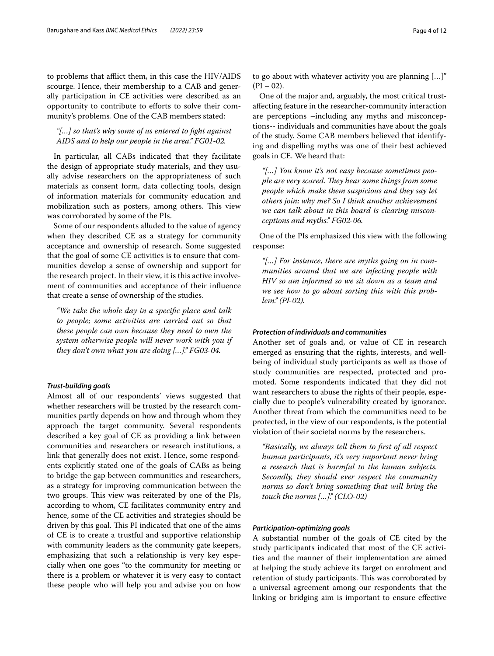to problems that afflict them, in this case the HIV/AIDS scourge. Hence, their membership to a CAB and generally participation in CE activities were described as an opportunity to contribute to eforts to solve their community's problems*.* One of the CAB members stated:

## *"[…] so that's why some of us entered to fght against AIDS and to help our people in the area." FG01-02.*

In particular, all CABs indicated that they facilitate the design of appropriate study materials, and they usually advise researchers on the appropriateness of such materials as consent form, data collecting tools, design of information materials for community education and mobilization such as posters, among others. This view was corroborated by some of the PIs.

Some of our respondents alluded to the value of agency when they described CE as a strategy for community acceptance and ownership of research. Some suggested that the goal of some CE activities is to ensure that communities develop a sense of ownership and support for the research project. In their view, it is this active involvement of communities and acceptance of their infuence that create a sense of ownership of the studies.

*"We take the whole day in a specifc place and talk to people; some activities are carried out so that these people can own because they need to own the system otherwise people will never work with you if they don't own what you are doing […]." FG03-04.*

## *Trust‑building goals*

Almost all of our respondents' views suggested that whether researchers will be trusted by the research communities partly depends on how and through whom they approach the target community. Several respondents described a key goal of CE as providing a link between communities and researchers or research institutions, a link that generally does not exist. Hence, some respondents explicitly stated one of the goals of CABs as being to bridge the gap between communities and researchers, as a strategy for improving communication between the two groups. This view was reiterated by one of the PIs, according to whom, CE facilitates community entry and hence, some of the CE activities and strategies should be driven by this goal. This PI indicated that one of the aims of CE is to create a trustful and supportive relationship with community leaders as the community gate keepers, emphasizing that such a relationship is very key especially when one goes "to the community for meeting or there is a problem or whatever it is very easy to contact these people who will help you and advise you on how to go about with whatever activity you are planning […]"  $(PI - 02)$ .

One of the major and, arguably, the most critical trustafecting feature in the researcher-community interaction are perceptions –including any myths and misconceptions-- individuals and communities have about the goals of the study. Some CAB members believed that identifying and dispelling myths was one of their best achieved goals in CE. We heard that:

*"[…] You know it's not easy because sometimes people are very scared. They hear some things from some people which make them suspicious and they say let others join; why me? So I think another achievement we can talk about in this board is clearing misconceptions and myths." FG02-06.*

One of the PIs emphasized this view with the following response:

*"[…] For instance, there are myths going on in communities around that we are infecting people with HIV so am informed so we sit down as a team and we see how to go about sorting this with this problem." (PI-02).*

## *Protection of individuals and communities*

Another set of goals and, or value of CE in research emerged as ensuring that the rights, interests, and wellbeing of individual study participants as well as those of study communities are respected, protected and promoted. Some respondents indicated that they did not want researchers to abuse the rights of their people, especially due to people's vulnerability created by ignorance. Another threat from which the communities need to be protected, in the view of our respondents, is the potential violation of their societal norms by the researchers.

*"Basically, we always tell them to frst of all respect human participants, it's very important never bring a research that is harmful to the human subjects. Secondly, they should ever respect the community norms so don't bring something that will bring the touch the norms […]." (CLO-02)*

## *Participation‑optimizing goals*

A substantial number of the goals of CE cited by the study participants indicated that most of the CE activities and the manner of their implementation are aimed at helping the study achieve its target on enrolment and retention of study participants. This was corroborated by a universal agreement among our respondents that the linking or bridging aim is important to ensure efective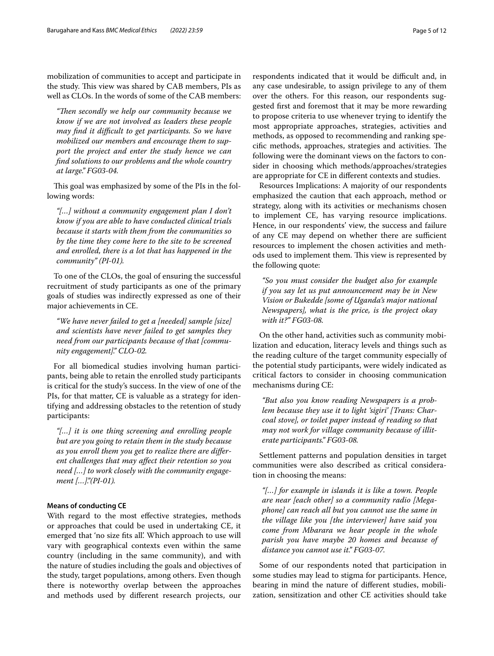mobilization of communities to accept and participate in the study. This view was shared by CAB members, PIs as well as CLOs. In the words of some of the CAB members:

*"Ten secondly we help our community because we know if we are not involved as leaders these people may fnd it difcult to get participants. So we have mobilized our members and encourage them to support the project and enter the study hence we can fnd solutions to our problems and the whole country at large." FG03-04.*

This goal was emphasized by some of the PIs in the following words:

*"[…] without a community engagement plan I don't know if you are able to have conducted clinical trials because it starts with them from the communities so by the time they come here to the site to be screened and enrolled, there is a lot that has happened in the community" (PI-01).*

To one of the CLOs, the goal of ensuring the successful recruitment of study participants as one of the primary goals of studies was indirectly expressed as one of their major achievements in CE.

*"We have never failed to get a [needed] sample [size] and scientists have never failed to get samples they need from our participants because of that [community engagement]." CLO-02.*

For all biomedical studies involving human participants, being able to retain the enrolled study participants is critical for the study's success. In the view of one of the PIs, for that matter, CE is valuable as a strategy for identifying and addressing obstacles to the retention of study participants:

*"[…] it is one thing screening and enrolling people but are you going to retain them in the study because as you enroll them you get to realize there are diferent challenges that may afect their retention so you need […] to work closely with the community engagement […]."(PI-01).*

## **Means of conducting CE**

With regard to the most efective strategies, methods or approaches that could be used in undertaking CE, it emerged that 'no size fts all'. Which approach to use will vary with geographical contexts even within the same country (including in the same community), and with the nature of studies including the goals and objectives of the study, target populations, among others. Even though there is noteworthy overlap between the approaches and methods used by diferent research projects, our respondents indicated that it would be difficult and, in any case undesirable, to assign privilege to any of them over the others. For this reason, our respondents suggested frst and foremost that it may be more rewarding to propose criteria to use whenever trying to identify the most appropriate approaches, strategies, activities and methods, as opposed to recommending and ranking specific methods, approaches, strategies and activities. The following were the dominant views on the factors to consider in choosing which methods/approaches/strategies are appropriate for CE in diferent contexts and studies.

Resources Implications: A majority of our respondents emphasized the caution that each approach, method or strategy, along with its activities or mechanisms chosen to implement CE, has varying resource implications. Hence, in our respondents' view, the success and failure of any CE may depend on whether there are sufficient resources to implement the chosen activities and methods used to implement them. This view is represented by the following quote:

*"So you must consider the budget also for example if you say let us put announcement may be in New Vision or Bukedde [some of Uganda's major national Newspapers], what is the price, is the project okay with it?" FG03-08.* 

On the other hand, activities such as community mobilization and education, literacy levels and things such as the reading culture of the target community especially of the potential study participants, were widely indicated as critical factors to consider in choosing communication mechanisms during CE:

*"But also you know reading Newspapers is a problem because they use it to light 'sigiri' [Trans: Charcoal stove], or toilet paper instead of reading so that may not work for village community because of illiterate participants." FG03-08.*

Settlement patterns and population densities in target communities were also described as critical consideration in choosing the means:

*"[…] for example in islands it is like a town. People are near [each other] so a community radio [Megaphone] can reach all but you cannot use the same in the village like you [the interviewer] have said you come from Mbarara we hear people in the whole parish you have maybe 20 homes and because of distance you cannot use it." FG03-07.*

Some of our respondents noted that participation in some studies may lead to stigma for participants. Hence, bearing in mind the nature of diferent studies, mobilization, sensitization and other CE activities should take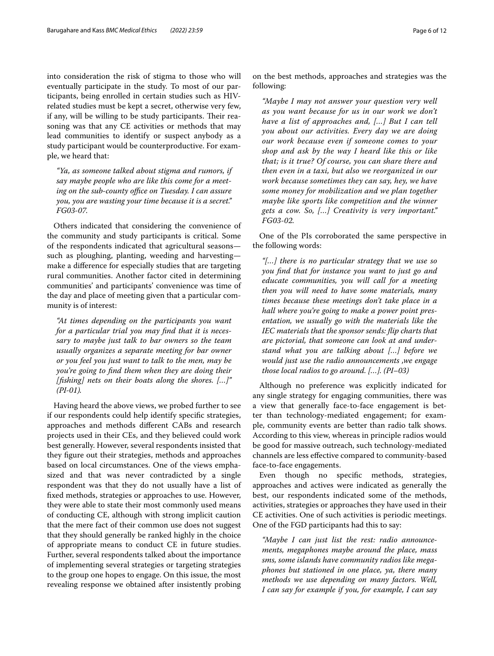into consideration the risk of stigma to those who will eventually participate in the study. To most of our participants, being enrolled in certain studies such as HIVrelated studies must be kept a secret, otherwise very few, if any, will be willing to be study participants. Their reasoning was that any CE activities or methods that may lead communities to identify or suspect anybody as a study participant would be counterproductive. For example, we heard that:

*"Ya, as someone talked about stigma and rumors, if say maybe people who are like this come for a meeting on the sub-county office on Tuesday. I can assure you, you are wasting your time because it is a secret." FG03-07.*

Others indicated that considering the convenience of the community and study participants is critical. Some of the respondents indicated that agricultural seasons such as ploughing, planting, weeding and harvesting make a diference for especially studies that are targeting rural communities. Another factor cited in determining communities' and participants' convenience was time of the day and place of meeting given that a particular community is of interest:

*"At times depending on the participants you want for a particular trial you may fnd that it is necessary to maybe just talk to bar owners so the team usually organizes a separate meeting for bar owner or you feel you just want to talk to the men, may be you're going to fnd them when they are doing their [fshing] nets on their boats along the shores. […]" (PI-01).*

Having heard the above views, we probed further to see if our respondents could help identify specifc strategies, approaches and methods diferent CABs and research projects used in their CEs, and they believed could work best generally. However, several respondents insisted that they fgure out their strategies, methods and approaches based on local circumstances. One of the views emphasized and that was never contradicted by a single respondent was that they do not usually have a list of fxed methods, strategies or approaches to use. However, they were able to state their most commonly used means of conducting CE, although with strong implicit caution that the mere fact of their common use does not suggest that they should generally be ranked highly in the choice of appropriate means to conduct CE in future studies. Further, several respondents talked about the importance of implementing several strategies or targeting strategies to the group one hopes to engage. On this issue, the most revealing response we obtained after insistently probing

on the best methods, approaches and strategies was the following:

*"Maybe I may not answer your question very well as you want because for us in our work we don't have a list of approaches and, […] But I can tell you about our activities. Every day we are doing our work because even if someone comes to your shop and ask by the way I heard like this or like that; is it true? Of course, you can share there and then even in a taxi, but also we reorganized in our work because sometimes they can say, hey, we have some money for mobilization and we plan together maybe like sports like competition and the winner gets a cow. So, […] Creativity is very important." FG03-02.*

One of the PIs corroborated the same perspective in the following words:

*"[…] there is no particular strategy that we use so you fnd that for instance you want to just go and educate communities, you will call for a meeting then you will need to have some materials, many times because these meetings don't take place in a hall where you're going to make a power point presentation, we usually go with the materials like the IEC materials that the sponsor sends: fip charts that are pictorial, that someone can look at and understand what you are talking about […] before we would just use the radio announcements ,we engage those local radios to go around. […]. (PI–03)*

Although no preference was explicitly indicated for any single strategy for engaging communities, there was a view that generally face-to-face engagement is better than technology-mediated engagement; for example, community events are better than radio talk shows. According to this view, whereas in principle radios would be good for massive outreach, such technology-mediated channels are less efective compared to community-based face-to-face engagements.

Even though no specifc methods, strategies, approaches and actives were indicated as generally the best, our respondents indicated some of the methods, activities, strategies or approaches they have used in their CE activities. One of such activities is periodic meetings. One of the FGD participants had this to say:

*"Maybe I can just list the rest: radio announcements, megaphones maybe around the place, mass sms, some islands have community radios like megaphones but stationed in one place, ya, there many methods we use depending on many factors. Well, I can say for example if you, for example, I can say*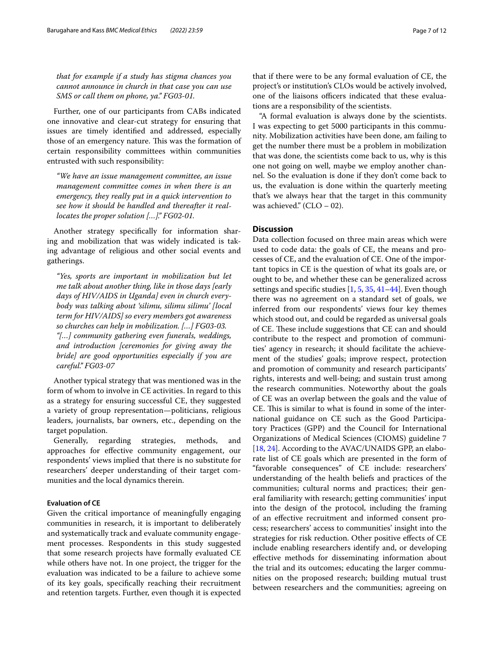*that for example if a study has stigma chances you cannot announce in church in that case you can use SMS or call them on phone, ya." FG03-01.*

Further, one of our participants from CABs indicated one innovative and clear-cut strategy for ensuring that issues are timely identifed and addressed, especially those of an emergency nature. This was the formation of certain responsibility committees within communities entrusted with such responsibility:

*"We have an issue management committee, an issue management committee comes in when there is an emergency, they really put in a quick intervention to see how it should be handled and thereafter it reallocates the proper solution […]." FG02-01.*

Another strategy specifcally for information sharing and mobilization that was widely indicated is taking advantage of religious and other social events and gatherings.

*"Yes, sports are important in mobilization but let me talk about another thing, like in those days [early days of HIV/AIDS in Uganda] even in church everybody was talking about 'silimu, silimu silimu' [local term for HIV/AIDS] so every members got awareness so churches can help in mobilization. […] FG03-03. "[…] community gathering even funerals, weddings, and introduction [ceremonies for giving away the bride] are good opportunities especially if you are careful." FG03-07*

Another typical strategy that was mentioned was in the form of whom to involve in CE activities. In regard to this as a strategy for ensuring successful CE, they suggested a variety of group representation—politicians, religious leaders, journalists, bar owners, etc., depending on the target population.

Generally, regarding strategies, methods, and approaches for efective community engagement, our respondents' views implied that there is no substitute for researchers' deeper understanding of their target communities and the local dynamics therein.

## **Evaluation of CE**

Given the critical importance of meaningfully engaging communities in research, it is important to deliberately and systematically track and evaluate community engagement processes. Respondents in this study suggested that some research projects have formally evaluated CE while others have not. In one project, the trigger for the evaluation was indicated to be a failure to achieve some of its key goals, specifcally reaching their recruitment and retention targets. Further, even though it is expected that if there were to be any formal evaluation of CE, the project's or institution's CLOs would be actively involved, one of the liaisons officers indicated that these evaluations are a responsibility of the scientists.

"A formal evaluation is always done by the scientists. I was expecting to get 5000 participants in this community. Mobilization activities have been done, am failing to get the number there must be a problem in mobilization that was done, the scientists come back to us, why is this one not going on well, maybe we employ another channel. So the evaluation is done if they don't come back to us, the evaluation is done within the quarterly meeting that's we always hear that the target in this community was achieved."  $(CLO – 02)$ .

## **Discussion**

Data collection focused on three main areas which were used to code data: the goals of CE, the means and processes of CE, and the evaluation of CE. One of the important topics in CE is the question of what its goals are, or ought to be, and whether these can be generalized across settings and specifc studies [\[1,](#page-9-0) [5](#page-9-1), [35](#page-10-13), [41](#page-10-14)[–44](#page-10-15)]. Even though there was no agreement on a standard set of goals, we inferred from our respondents' views four key themes which stood out, and could be regarded as universal goals of CE. These include suggestions that CE can and should contribute to the respect and promotion of communities' agency in research; it should facilitate the achievement of the studies' goals; improve respect, protection and promotion of community and research participants' rights, interests and well-being; and sustain trust among the research communities. Noteworthy about the goals of CE was an overlap between the goals and the value of CE. This is similar to what is found in some of the international guidance on CE such as the Good Participatory Practices (GPP) and the Council for International Organizations of Medical Sciences (CIOMS) guideline 7 [[18,](#page-10-16) [24](#page-10-7)]. According to the AVAC/UNAIDS GPP, an elaborate list of CE goals which are presented in the form of "favorable consequences" of CE include: researchers' understanding of the health beliefs and practices of the communities; cultural norms and practices; their general familiarity with research; getting communities' input into the design of the protocol, including the framing of an efective recruitment and informed consent process; researchers' access to communities' insight into the strategies for risk reduction. Other positive efects of CE include enabling researchers identify and, or developing efective methods for disseminating information about the trial and its outcomes; educating the larger communities on the proposed research; building mutual trust between researchers and the communities; agreeing on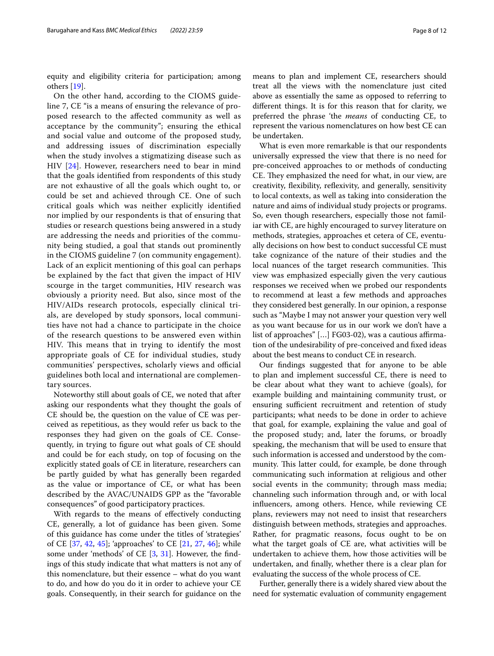equity and eligibility criteria for participation; among others [[19\]](#page-10-17).

On the other hand, according to the CIOMS guideline 7, CE "is a means of ensuring the relevance of proposed research to the afected community as well as acceptance by the community"; ensuring the ethical and social value and outcome of the proposed study, and addressing issues of discrimination especially when the study involves a stigmatizing disease such as HIV [[24](#page-10-7)]. However, researchers need to bear in mind that the goals identifed from respondents of this study are not exhaustive of all the goals which ought to, or could be set and achieved through CE. One of such critical goals which was neither explicitly identifed nor implied by our respondents is that of ensuring that studies or research questions being answered in a study are addressing the needs and priorities of the community being studied, a goal that stands out prominently in the CIOMS guideline 7 (on community engagement). Lack of an explicit mentioning of this goal can perhaps be explained by the fact that given the impact of HIV scourge in the target communities, HIV research was obviously a priority need. But also, since most of the HIV/AIDs research protocols, especially clinical trials, are developed by study sponsors, local communities have not had a chance to participate in the choice of the research questions to be answered even within HIV. This means that in trying to identify the most appropriate goals of CE for individual studies, study communities' perspectives, scholarly views and official guidelines both local and international are complementary sources.

Noteworthy still about goals of CE, we noted that after asking our respondents what they thought the goals of CE should be, the question on the value of CE was perceived as repetitious, as they would refer us back to the responses they had given on the goals of CE. Consequently, in trying to fgure out what goals of CE should and could be for each study, on top of focusing on the explicitly stated goals of CE in literature, researchers can be partly guided by what has generally been regarded as the value or importance of CE, or what has been described by the AVAC/UNAIDS GPP as the "favorable consequences" of good participatory practices.

With regards to the means of efectively conducting CE, generally, a lot of guidance has been given. Some of this guidance has come under the titles of 'strategies' of CE [[37,](#page-10-18) [42,](#page-10-19) [45](#page-10-20)]; 'approaches' to CE [[21](#page-10-21), [27,](#page-10-22) [46\]](#page-10-23); while some under 'methods' of CE [\[3](#page-9-2), [31\]](#page-10-24). However, the fndings of this study indicate that what matters is not any of this nomenclature, but their essence – what do you want to do, and how do you do it in order to achieve your CE goals. Consequently, in their search for guidance on the means to plan and implement CE, researchers should treat all the views with the nomenclature just cited above as essentially the same as opposed to referring to diferent things. It is for this reason that for clarity, we preferred the phrase 'the *means* of conducting CE, to represent the various nomenclatures on how best CE can be undertaken.

What is even more remarkable is that our respondents universally expressed the view that there is no need for pre-conceived approaches to or methods of conducting CE. They emphasized the need for what, in our view, are creativity, fexibility, refexivity, and generally, sensitivity to local contexts, as well as taking into consideration the nature and aims of individual study projects or programs. So, even though researchers, especially those not familiar with CE, are highly encouraged to survey literature on methods, strategies, approaches et cetera of CE, eventually decisions on how best to conduct successful CE must take cognizance of the nature of their studies and the local nuances of the target research communities. This view was emphasized especially given the very cautious responses we received when we probed our respondents to recommend at least a few methods and approaches they considered best generally. In our opinion, a response such as "Maybe I may not answer your question very well as you want because for us in our work we don't have a list of approaches" [...] FG03-02), was a cautious affirmation of the undesirability of pre-conceived and fxed ideas about the best means to conduct CE in research.

Our fndings suggested that for anyone to be able to plan and implement successful CE, there is need to be clear about what they want to achieve (goals), for example building and maintaining community trust, or ensuring sufficient recruitment and retention of study participants; what needs to be done in order to achieve that goal, for example, explaining the value and goal of the proposed study; and, later the forums, or broadly speaking, the mechanism that will be used to ensure that such information is accessed and understood by the community. This latter could, for example, be done through communicating such information at religious and other social events in the community; through mass media; channeling such information through and, or with local infuencers, among others. Hence, while reviewing CE plans, reviewers may not need to insist that researchers distinguish between methods, strategies and approaches. Rather, for pragmatic reasons, focus ought to be on what the target goals of CE are, what activities will be undertaken to achieve them, how those activities will be undertaken, and fnally, whether there is a clear plan for evaluating the success of the whole process of CE.

Further, generally there is a widely shared view about the need for systematic evaluation of community engagement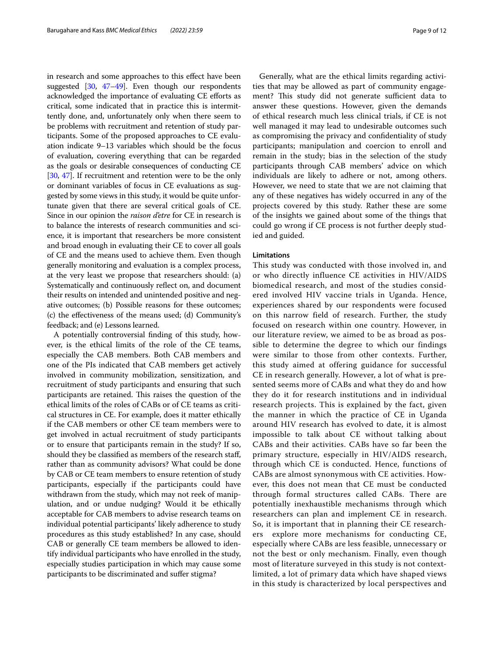in research and some approaches to this efect have been suggested [\[30,](#page-10-10) [47](#page-10-25)–[49\]](#page-11-0). Even though our respondents acknowledged the importance of evaluating CE eforts as critical, some indicated that in practice this is intermittently done, and, unfortunately only when there seem to be problems with recruitment and retention of study participants. Some of the proposed approaches to CE evaluation indicate 9–13 variables which should be the focus of evaluation, covering everything that can be regarded as the goals or desirable consequences of conducting CE [[30](#page-10-10), [47](#page-10-25)]. If recruitment and retention were to be the only or dominant variables of focus in CE evaluations as suggested by some views in this study, it would be quite unfortunate given that there are several critical goals of CE. Since in our opinion the *raison d'etre* for CE in research is to balance the interests of research communities and science, it is important that researchers be more consistent and broad enough in evaluating their CE to cover all goals of CE and the means used to achieve them. Even though generally monitoring and evaluation is a complex process, at the very least we propose that researchers should: (a) Systematically and continuously refect on, and document their results on intended and unintended positive and negative outcomes; (b) Possible reasons for these outcomes; (c) the efectiveness of the means used; (d) Community's feedback; and (e) Lessons learned.

A potentially controversial fnding of this study, however, is the ethical limits of the role of the CE teams, especially the CAB members. Both CAB members and one of the PIs indicated that CAB members get actively involved in community mobilization, sensitization, and recruitment of study participants and ensuring that such participants are retained. This raises the question of the ethical limits of the roles of CABs or of CE teams as critical structures in CE. For example, does it matter ethically if the CAB members or other CE team members were to get involved in actual recruitment of study participants or to ensure that participants remain in the study? If so, should they be classifed as members of the research staf, rather than as community advisors? What could be done by CAB or CE team members to ensure retention of study participants, especially if the participants could have withdrawn from the study, which may not reek of manipulation, and or undue nudging? Would it be ethically acceptable for CAB members to advise research teams on individual potential participants' likely adherence to study procedures as this study established? In any case, should CAB or generally CE team members be allowed to identify individual participants who have enrolled in the study, especially studies participation in which may cause some participants to be discriminated and sufer stigma?

Generally, what are the ethical limits regarding activities that may be allowed as part of community engagement? This study did not generate sufficient data to answer these questions. However, given the demands of ethical research much less clinical trials, if CE is not well managed it may lead to undesirable outcomes such as compromising the privacy and confdentiality of study participants; manipulation and coercion to enroll and remain in the study; bias in the selection of the study participants through CAB members' advice on which individuals are likely to adhere or not, among others. However, we need to state that we are not claiming that any of these negatives has widely occurred in any of the projects covered by this study. Rather these are some of the insights we gained about some of the things that could go wrong if CE process is not further deeply studied and guided.

## **Limitations**

This study was conducted with those involved in, and or who directly influence CE activities in HIV/AIDS biomedical research, and most of the studies considered involved HIV vaccine trials in Uganda. Hence, experiences shared by our respondents were focused on this narrow field of research. Further, the study focused on research within one country. However, in our literature review, we aimed to be as broad as possible to determine the degree to which our findings were similar to those from other contexts. Further, this study aimed at offering guidance for successful CE in research generally. However, a lot of what is presented seems more of CABs and what they do and how they do it for research institutions and in individual research projects. This is explained by the fact, given the manner in which the practice of CE in Uganda around HIV research has evolved to date, it is almost impossible to talk about CE without talking about CABs and their activities. CABs have so far been the primary structure, especially in HIV/AIDS research, through which CE is conducted. Hence, functions of CABs are almost synonymous with CE activities. However, this does not mean that CE must be conducted through formal structures called CABs. There are potentially inexhaustible mechanisms through which researchers can plan and implement CE in research. So, it is important that in planning their CE researchers explore more mechanisms for conducting CE, especially where CABs are less feasible, unnecessary or not the best or only mechanism. Finally, even though most of literature surveyed in this study is not contextlimited, a lot of primary data which have shaped views in this study is characterized by local perspectives and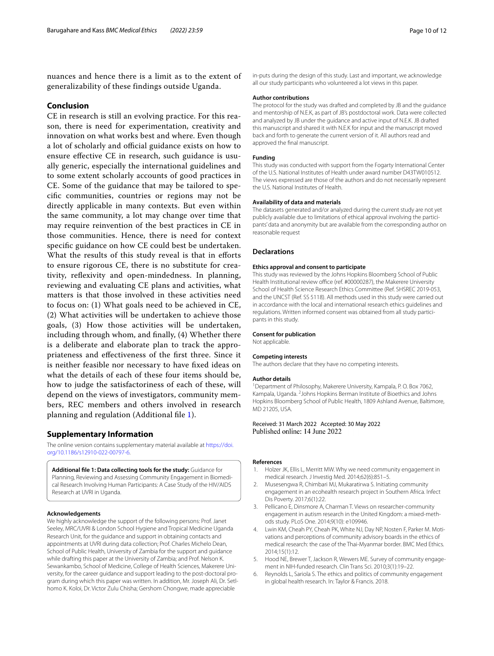nuances and hence there is a limit as to the extent of generalizability of these findings outside Uganda.

## **Conclusion**

CE in research is still an evolving practice. For this reason, there is need for experimentation, creativity and innovation on what works best and where. Even though a lot of scholarly and official guidance exists on how to ensure efective CE in research, such guidance is usually generic, especially the international guidelines and to some extent scholarly accounts of good practices in CE. Some of the guidance that may be tailored to specifc communities, countries or regions may not be directly applicable in many contexts. But even within the same community, a lot may change over time that may require reinvention of the best practices in CE in those communities. Hence, there is need for context specifc guidance on how CE could best be undertaken. What the results of this study reveal is that in efforts to ensure rigorous CE, there is no substitute for creativity, refexivity and open-mindedness. In planning, reviewing and evaluating CE plans and activities, what matters is that those involved in these activities need to focus on: (1) What goals need to be achieved in CE, (2) What activities will be undertaken to achieve those goals, (3) How those activities will be undertaken, including through whom, and fnally, (4) Whether there is a deliberate and elaborate plan to track the appropriateness and efectiveness of the frst three. Since it is neither feasible nor necessary to have fxed ideas on what the details of each of these four items should be, how to judge the satisfactoriness of each of these, will depend on the views of investigators, community members, REC members and others involved in research planning and regulation (Additional fle [1\)](#page-9-3).

## **Supplementary Information**

The online version contains supplementary material available at [https://doi.](https://doi.org/10.1186/s12910-022-00797-6) [org/10.1186/s12910-022-00797-6](https://doi.org/10.1186/s12910-022-00797-6).

<span id="page-9-3"></span>**Additional fle 1: Data collecting tools for the study:** Guidance for Planning, Reviewing and Assessing Community Engagement in Biomedical Research Involving Human Participants: A Case Study of the HIV/AIDS Research at UVRI in Uganda.

#### **Acknowledgements**

We highly acknowledge the support of the following persons: Prof. Janet Seeley, MRC/UVRI & London School Hygiene and Tropical Medicine Uganda Research Unit, for the guidance and support in obtaining contacts and appointments at UVRI during data collection; Prof. Charles Michelo Dean, School of Public Health, University of Zambia for the support and guidance while drafting this paper at the University of Zambia; and Prof. Nelson K. Sewankambo, School of Medicine, College of Health Sciences, Makerere University, for the career guidance and support leading to the post-doctoral program during which this paper was written. In addition, Mr. Joseph Ali, Dr. Setlhomo K. Koloi, Dr. Victor Zulu Chisha; Gershom Chongwe, made appreciable

in-puts during the design of this study. Last and important, we acknowledge all our study participants who volunteered a lot views in this paper.

## **Author contributions**

The protocol for the study was drafted and completed by JB and the guidance and mentorship of N.E.K, as part of JB's postdoctoral work. Data were collected and analyzed by JB under the guidance and active input of N.E.K. JB drafted this manuscript and shared it with N.E.K for input and the manuscript moved back and forth to generate the current version of it. All authors read and approved the fnal manuscript.

#### **Funding**

This study was conducted with support from the Fogarty International Center of the U.S. National Institutes of Health under award number D43TW010512. The views expressed are those of the authors and do not necessarily represent the U.S. National Institutes of Health.

#### **Availability of data and materials**

The datasets generated and/or analyzed during the current study are not yet publicly available due to limitations of ethical approval involving the participants' data and anonymity but are available from the corresponding author on reasonable request

### **Declarations**

#### **Ethics approval and consent to participate**

This study was reviewed by the Johns Hopkins Bloomberg School of Public Health Institutional review office (ref. #00000287), the Makerere University School of Health Science Research Ethics Committee (Ref. SHSREC 2019-053, and the UNCST (Ref. SS 5118). All methods used in this study were carried out in accordance with the local and international research ethics guidelines and regulations. Written informed consent was obtained from all study participants in this study.

#### **Consent for publication**

Not applicable.

#### **Competing interests**

The authors declare that they have no competing interests.

#### **Author details**

<sup>1</sup> Department of Philosophy, Makerere University, Kampala, P. O. Box 7062, Kampala, Uganda. <sup>2</sup> Johns Hopkins Berman Institute of Bioethics and Johns Hopkins Bloomberg School of Public Health, 1809 Ashland Avenue, Baltimore, MD 21205, USA.

## Received: 31 March 2022 Accepted: 30 May 2022 Published online: 14 June 2022

#### **References**

- <span id="page-9-0"></span>1. Holzer JK, Ellis L, Merritt MW. Why we need community engagement in medical research. J Investig Med. 2014;62(6):851–5.
- 2. Musesengwa R, Chimbari MJ, Mukaratirwa S. Initiating community engagement in an ecohealth research project in Southern Africa. Infect Dis Poverty. 2017;6(1):22.
- <span id="page-9-2"></span>3. Pellicano E, Dinsmore A, Charman T. Views on researcher-community engagement in autism research in the United Kingdom: a mixed-methods study. PLoS One. 2014;9(10): e109946.
- 4. Lwin KM, Cheah PY, Cheah PK, White NJ, Day NP, Nosten F, Parker M. Motivations and perceptions of community advisory boards in the ethics of medical research: the case of the Thai-Myanmar border. BMC Med Ethics. 2014;15(1):12.
- <span id="page-9-1"></span>5. Hood NE, Brewer T, Jackson R, Wewers ME. Survey of community engagement in NIH-funded research. Clin Trans Sci. 2010;3(1):19–22.
- 6. Reynolds L, Sariola S. The ethics and politics of community engagement in global health research. In: Taylor & Francis. 2018.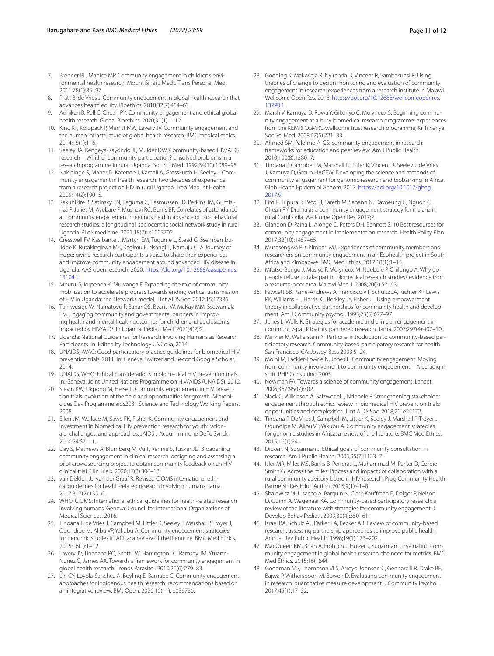- 7. Brenner BL, Manice MP. Community engagement in children's environmental health research. Mount Sinai J Med J Trans Personal Med. 2011;78(1):85–97.
- 8. Pratt B, de Vries J. Community engagement in global health research that advances health equity. Bioethics. 2018;32(7):454–63.
- 9. Adhikari B, Pell C, Cheah PY. Community engagement and ethical global health research. Global Bioethics. 2020;31(1):1–12.
- <span id="page-10-0"></span>10. King KF, Kolopack P, Merritt MW, Lavery JV. Community engagement and the human infrastructure of global health research. BMC medical ethics. 2014;15(1):1–6.
- <span id="page-10-1"></span>11. Seeley JA, Kengeya-Kayondo JF, Mulder DW. Community-based HIV/AIDS research—Whither community participation? unsolved problems in a research programme in rural Uganda. Soc Sci Med. 1992;34(10):1089–95.
- <span id="page-10-2"></span>12. Nakibinge S, Maher D, Katende J, Kamali A, Grosskurth H, Seeley J. Community engagement in health research: two decades of experience from a research project on HIV in rural Uganda. Trop Med Int Health. 2009;14(2):190–5.
- 13. Kakuhikire B, Satinsky EN, Baguma C, Rasmussen JD, Perkins JM, Gumisiriza P, Juliet M, Ayebare P, Mushavi RC, Burns BF. Correlates of attendance at community engagement meetings held in advance of bio-behavioral research studies: a longitudinal, sociocentric social network study in rural Uganda. PLoS medicine. 2021;18(7): e1003705.
- 14. Cresswell FV, Kasibante J, Martyn EM, Tugume L, Stead G, Ssembambulidde K, Rutakingirwa MK, Kagimu E, Nsangi L, Namuju C. A Journey of Hope: giving research participants a voice to share their experiences and improve community engagement around advanced HIV disease in Uganda. AAS open research. 2020. [https://doi.org/10.12688/aasopenres.](https://doi.org/10.12688/aasopenres.13104.1) [13104.1.](https://doi.org/10.12688/aasopenres.13104.1)
- 15. Mburu G, Iorpenda K, Muwanga F. Expanding the role of community mobilization to accelerate progress towards ending vertical transmission of HIV in Uganda: the Networks model. J Int AIDS Soc. 2012;15:17386.
- <span id="page-10-3"></span>16. Tumwesige W, Namatovu P, Bahar OS, Byansi W, McKay MM, Ssewamala FM. Engaging community and governmental partners in improving health and mental health outcomes for children and adolescents impacted by HIV/AIDS in Uganda. Pediatr Med. 2021;4(2):2.
- <span id="page-10-4"></span>17. Uganda: National Guidelines for Research involving Humans as Research Participants. In*.* Edited by Technology UNCoSa; 2014.
- <span id="page-10-16"></span>18. UNAIDS, AVAC: Good participatory practice guidelines for biomedical HIV prevention trials. 2011. In: Geneva, Switzerland, Second Google Scholar. 2014.
- <span id="page-10-17"></span>19. UNAIDS, WHO: Ethical considerations in biomedical HIV prevention trials. In: Geneva: Joint United Nations Programme on HIV/AIDS (UNAIDS). 2012.
- 20. Slevin KW, Ukpong M, Heise L. Community engagement in HIV prevention trials: evolution of the feld and opportunities for growth. Microbicides Dev Programme aids2031 Science and Technology Working Papers. 2008.
- <span id="page-10-21"></span>21. Ellen JM, Wallace M, Sawe FK, Fisher K. Community engagement and investment in biomedical HIV prevention research for youth: rationale, challenges, and approaches. JAIDS J Acquir Immune Defc Syndr. 2010;54:S7–11.
- <span id="page-10-5"></span>22. Day S, Mathews A, Blumberg M, Vu T, Rennie S, Tucker JD. Broadening community engagement in clinical research: designing and assessing a pilot crowdsourcing project to obtain community feedback on an HIV clinical trial. Clin Trials. 2020;17(3):306–13.
- <span id="page-10-6"></span>23. van Delden JJ, van der Graaf R. Revised CIOMS international ethical guidelines for health-related research involving humans. Jama. 2017;317(2):135–6.
- <span id="page-10-7"></span>24. WHO, CIOMS: International ethical guidelines for health-related research involving humans: Geneva: Council for International Organizations of Medical Sciences. 2016.
- <span id="page-10-8"></span>25. Tindana P, de Vries J, Campbell M, Littler K, Seeley J, Marshall P, Troyer J, Ogundipe M, Alibu VP, Yakubu A. Community engagement strategies for genomic studies in Africa: a review of the literature. BMC Med Ethics. 2015;16(1):1–12.
- 26. Lavery JV, Tinadana PO, Scott TW, Harrington LC, Ramsey JM, Ytuarte-Nuñez C, James AA. Towards a framework for community engagement in global health research. Trends Parasitol. 2010;26(6):279–83.
- <span id="page-10-22"></span>27. Lin CY, Loyola-Sanchez A, Boyling E, Barnabe C. Community engagement approaches for Indigenous health research: recommendations based on an integrative review. BMJ Open. 2020;10(11): e039736.
- 28. Gooding K, Makwinja R, Nyirenda D, Vincent R, Sambakunsi R. Using theories of change to design monitoring and evaluation of community engagement in research: experiences from a research institute in Malawi. Wellcome Open Res. 2018. [https://doi.org/10.12688/wellcomeopenres.](https://doi.org/10.12688/wellcomeopenres.13790.1) [13790.1.](https://doi.org/10.12688/wellcomeopenres.13790.1)
- 29. Marsh V, Kamuya D, Rowa Y, Gikonyo C, Molyneux S. Beginning community engagement at a busy biomedical research programme: experiences from the KEMRI CGMRC-wellcome trust research programme, Kilifi Kenya. Soc Sci Med. 2008;67(5):721–33.
- <span id="page-10-10"></span>30. Ahmed SM. Palermo A-GS: community engagement in research: frameworks for education and peer review. Am J Public Health. 2010;100(8):1380–7.
- <span id="page-10-24"></span>31. Tindana P, Campbell M, Marshall P, Littler K, Vincent R, Seeley J, de Vries J, Kamuya D, Group HACEW. Developing the science and methods of community engagement for genomic research and biobanking in Africa. Glob Health Epidemiol Genom. 2017. [https://doi.org/10.1017/gheg.](https://doi.org/10.1017/gheg.2017.9) [2017.9](https://doi.org/10.1017/gheg.2017.9).
- 32. Lim R, Tripura R, Peto TJ, Sareth M, Sanann N, Davoeung C, Nguon C, Cheah PY. Drama as a community engagement strategy for malaria in rural Cambodia. Wellcome Open Res. 2017;2.
- <span id="page-10-9"></span>33. Glandon D, Paina L, Alonge O, Peters DH, Bennett S. 10 Best resources for community engagement in implementation research. Health Policy Plan. 2017;32(10):1457–65.
- <span id="page-10-11"></span>34. Musesengwa R, Chimbari MJ. Experiences of community members and researchers on community engagement in an Ecohealth project in South Africa and Zimbabwe. BMC Med Ethics. 2017;18(1):1–15.
- <span id="page-10-13"></span>35. Mfutso-Bengo J, Masiye F, Molyneux M, Ndebele P, Chilungo A. Why do people refuse to take part in biomedical research studies? evidence from a resource-poor area. Malawi Med J. 2008;20(2):57–63.
- 36. Fawcett SB, Paine-Andrews A, Francisco VT, Schultz JA, Richter KP, Lewis RK, Williams EL, Harris KJ, Berkley JY, Fisher JL. Using empowerment theory in collaborative partnerships for community health and development. Am J Community psychol. 1995;23(5):677–97.
- <span id="page-10-18"></span>37. Jones L, Wells K. Strategies for academic and clinician engagement in community-participatory partnered research. Jama. 2007;297(4):407–10.
- 38. Minkler M, Wallerstein N. Part one: introduction to community-based participatory research. Community-based participatory research for health San Francisco, CA: Jossey-Bass 2003;5–24.
- 39. Moini M, Fackler-Lowrie N, Jones L. Community engagement: Moving from community involvement to community engagement—A paradigm shift. PHP Consulting. 2005.
- <span id="page-10-12"></span>40. Newman PA. Towards a science of community engagement. Lancet. 2006;367(9507):302.
- <span id="page-10-14"></span>41. Slack C, Wilkinson A, Salzwedel J, Ndebele P. Strengthening stakeholder engagement through ethics review in biomedical HIV prevention trials: opportunities and complexities. J Int AIDS Soc. 2018;21: e25172.
- <span id="page-10-19"></span>42. Tindana P, De Vries J, Campbell M, Littler K, Seeley J, Marshall P, Troyer J, Ogundipe M, Alibu VP, Yakubu A. Community engagement strategies for genomic studies in Africa: a review of the literature. BMC Med Ethics. 2015;16(1):24.
- 43. Dickert N, Sugarman J. Ethical goals of community consultation in research. Am J Public Health. 2005;95(7):1123–7.
- <span id="page-10-15"></span>44. Isler MR, Miles MS, Banks B, Perreras L, Muhammad M, Parker D, Corbie-Smith G. Across the miles: Process and impacts of collaboration with a rural community advisory board in HIV research. Prog Community Health Partnersh Res Educ Action. 2015;9(1):41–8.
- <span id="page-10-20"></span>45. Shalowitz MU, Isacco A, Barquin N, Clark-Kaufman E, Delger P, Nelson D, Quinn A, Wagenaar KA. Community-based participatory research: a review of the literature with strategies for community engagement. J Develop Behav Pediatr. 2009;30(4):350–61.
- <span id="page-10-23"></span>46. Israel BA, Schulz AJ, Parker EA, Becker AB. Review of community-based research: assessing partnership approaches to improve public health. Annual Rev Public Health. 1998;19(1):173–202.
- <span id="page-10-25"></span>47. MacQueen KM, Bhan A, Frohlich J, Holzer J, Sugarman J. Evaluating community engagement in global health research: the need for metrics. BMC Med Ethics. 2015;16(1):44.
- 48. Goodman MS, Thompson VLS, Arroyo Johnson C, Gennarelli R, Drake BF, Bajwa P, Witherspoon M, Bowen D. Evaluating community engagement in research: quantitative measure development. J Community Psychol. 2017;45(1):17–32.